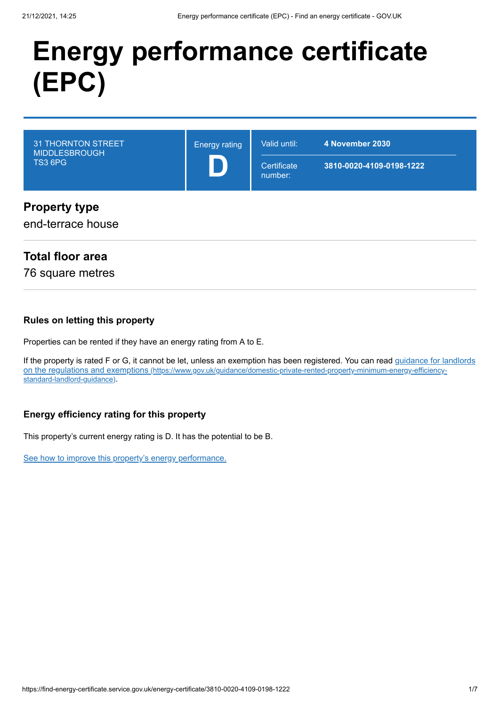# **Energy performance certificate (EPC)**

| <b>31 THORNTON STREET</b><br><b>MIDDLESBROUGH</b><br><b>TS3 6PG</b> | <b>Energy rating</b> | Valid until:<br>Certificate<br>number: | 4 November 2030<br>3810-0020-4109-0198-1222 |
|---------------------------------------------------------------------|----------------------|----------------------------------------|---------------------------------------------|
| <b>Property type</b><br>end-terrace house                           |                      |                                        |                                             |

# **Total floor area**

76 square metres

#### **Rules on letting this property**

Properties can be rented if they have an energy rating from A to E.

[If the property is rated F or G, it cannot be let, unless an exemption has been registered. You can read guidance for landlords](https://www.gov.uk/guidance/domestic-private-rented-property-minimum-energy-efficiency-standard-landlord-guidance) on the regulations and exemptions (https://www.gov.uk/guidance/domestic-private-rented-property-minimum-energy-efficiencystandard-landlord-guidance).

## **Energy efficiency rating for this property**

This property's current energy rating is D. It has the potential to be B.

[See how to improve this property's energy performance.](#page-3-0)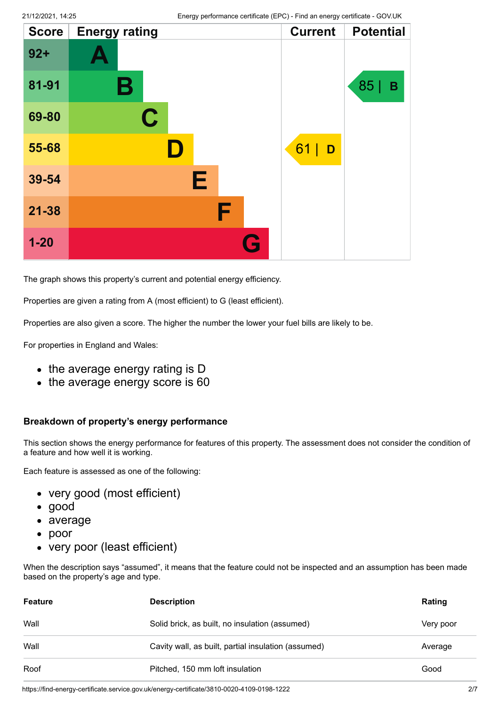| <b>Score</b> | <b>Energy rating</b> |   | <b>Current</b> | <b>Potential</b> |
|--------------|----------------------|---|----------------|------------------|
| $92 +$       |                      |   |                |                  |
| 81-91        | Β                    |   |                | 85  <br>B        |
| 69-80        | $\mathbf C$          |   |                |                  |
| 55-68        | II)                  |   | 61<br>D        |                  |
| 39-54        | Е                    |   |                |                  |
| $21 - 38$    |                      | F |                |                  |
| $1 - 20$     |                      | G |                |                  |

The graph shows this property's current and potential energy efficiency.

Properties are given a rating from A (most efficient) to G (least efficient).

Properties are also given a score. The higher the number the lower your fuel bills are likely to be.

For properties in England and Wales:

- the average energy rating is D
- the average energy score is 60

#### **Breakdown of property's energy performance**

This section shows the energy performance for features of this property. The assessment does not consider the condition of a feature and how well it is working.

Each feature is assessed as one of the following:

- very good (most efficient)
- good
- average
- poor
- very poor (least efficient)

When the description says "assumed", it means that the feature could not be inspected and an assumption has been made based on the property's age and type.

| <b>Feature</b> | <b>Description</b>                                  | Rating    |
|----------------|-----------------------------------------------------|-----------|
| Wall           | Solid brick, as built, no insulation (assumed)      | Very poor |
| Wall           | Cavity wall, as built, partial insulation (assumed) | Average   |
| Roof           | Pitched, 150 mm loft insulation                     | Good      |

https://find-energy-certificate.service.gov.uk/energy-certificate/3810-0020-4109-0198-1222 2009-0198-1222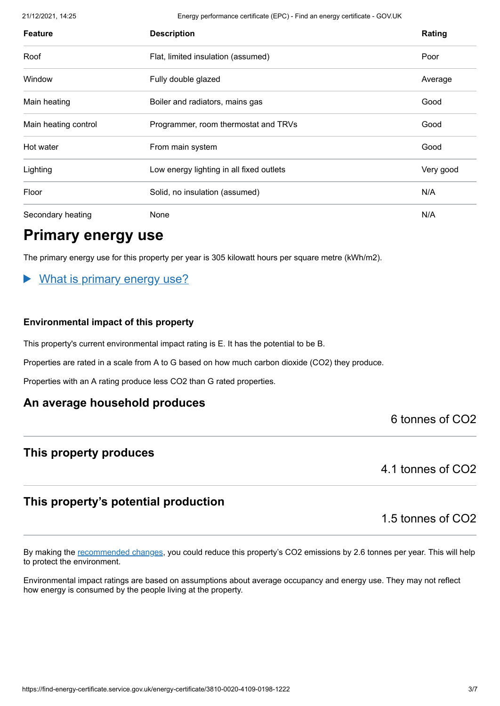21/12/2021, 14:25 Energy performance certificate (EPC) - Find an energy certificate - GOV.UK

| <b>Feature</b>       | <b>Description</b>                       | Rating    |
|----------------------|------------------------------------------|-----------|
| Roof                 | Flat, limited insulation (assumed)       | Poor      |
| Window               | Fully double glazed                      | Average   |
| Main heating         | Boiler and radiators, mains gas          | Good      |
| Main heating control | Programmer, room thermostat and TRVs     | Good      |
| Hot water            | From main system                         | Good      |
| Lighting             | Low energy lighting in all fixed outlets | Very good |
| Floor                | Solid, no insulation (assumed)           | N/A       |
| Secondary heating    | None                                     | N/A       |

# **Primary energy use**

The primary energy use for this property per year is 305 kilowatt hours per square metre (kWh/m2).

# What is primary energy use?

#### **Environmental impact of this property**

This property's current environmental impact rating is E. It has the potential to be B.

Properties are rated in a scale from A to G based on how much carbon dioxide (CO2) they produce.

Properties with an A rating produce less CO2 than G rated properties.

## **An average household produces**

6 tonnes of CO2

## **This property produces**

4.1 tonnes of CO2

# **This property's potential production**

1.5 tonnes of CO2

By making the [recommended changes](#page-3-0), you could reduce this property's CO2 emissions by 2.6 tonnes per year. This will help to protect the environment.

Environmental impact ratings are based on assumptions about average occupancy and energy use. They may not reflect how energy is consumed by the people living at the property.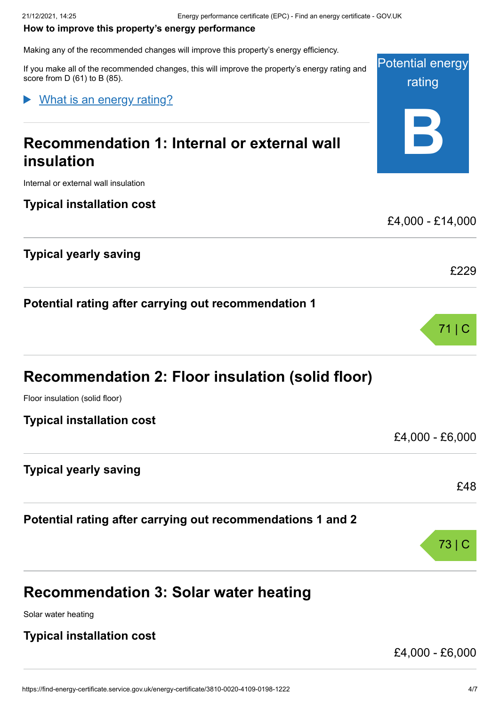#### <span id="page-3-0"></span>**How to improve this property's energy performance**

Making any of the recommended changes will improve this property's energy efficiency.

If you make all of the recommended changes, this will improve the property's energy rating and score from D (61) to B (85).

What is an energy rating?

# **Recommendation 1: Internal or external wall insulation**

Internal or external wall insulation

**Typical installation cost**

**Typical yearly saving**

**Potential rating after carrying out recommendation 1**

| Recommendation 2: Floor insulation (solid floor) |  |  |
|--------------------------------------------------|--|--|
|--------------------------------------------------|--|--|

Floor insulation (solid floor)

**Typical installation cost**

£4,000 - £6,000

£48

73 | C

Potential energy

rating

**B**

£4,000 - £14,000

£229

71 | C

**Typical yearly saving**

**Potential rating after carrying out recommendations 1 and 2**

# **Recommendation 3: Solar water heating**

Solar water heating

**Typical installation cost**

£4,000 - £6,000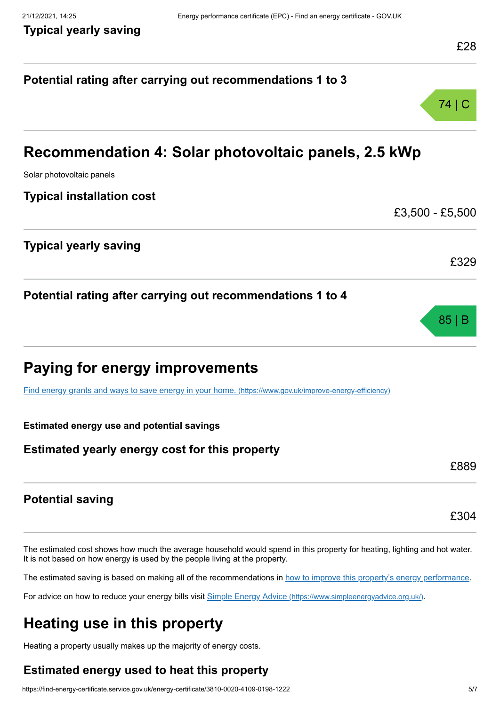# **Potential rating after carrying out recommendations 1 to 3** 74 | C **Recommendation 4: Solar photovoltaic panels, 2.5 kWp** Solar photovoltaic panels **Typical installation cost** £3,500 - £5,500 **Typical yearly saving** £329 **Potential rating after carrying out recommendations 1 to 4** 85 | B **Paying for energy improvements** [Find energy grants and ways to save energy in your home.](https://www.gov.uk/improve-energy-efficiency) (https://www.gov.uk/improve-energy-efficiency) **Estimated energy use and potential savings Estimated yearly energy cost for this property** £889 **Potential saving** £304

The estimated cost shows how much the average household would spend in this property for heating, lighting and hot water. It is not based on how energy is used by the people living at the property.

The estimated saving is based on making all of the recommendations in [how to improve this property's energy performance.](#page-3-0)

For advice on how to reduce your energy bills visit Simple Energy Advice [\(https://www.simpleenergyadvice.org.uk/\)](https://www.simpleenergyadvice.org.uk/).

# **Heating use in this property**

Heating a property usually makes up the majority of energy costs.

# **Estimated energy used to heat this property**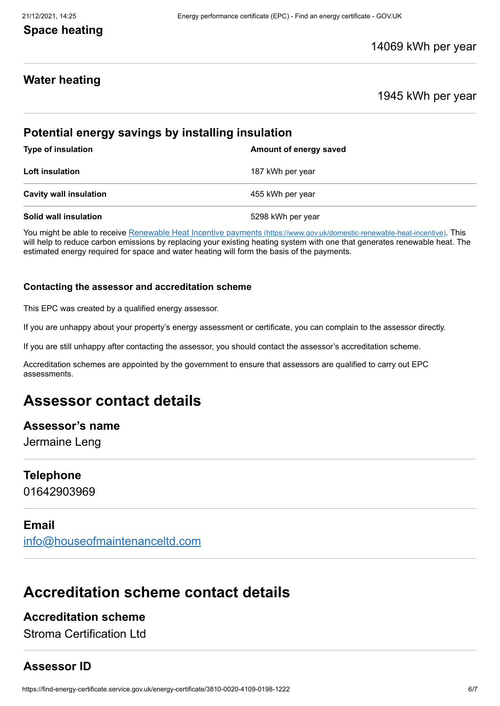# **Space heating**

# **Water heating**

## 1945 kWh per year

# **Potential energy savings by installing insulation Type of insulation Amount of energy saved Loft insulation** 187 kWh per year **Cavity wall insulation Cavity wall insulation 155 kWh** per year **Solid wall insulation** 6298 kWh per year

You might be able to receive Renewable Heat Incentive payments [\(https://www.gov.uk/domestic-renewable-heat-incentive\)](https://www.gov.uk/domestic-renewable-heat-incentive). This will help to reduce carbon emissions by replacing your existing heating system with one that generates renewable heat. The estimated energy required for space and water heating will form the basis of the payments.

#### **Contacting the assessor and accreditation scheme**

This EPC was created by a qualified energy assessor.

If you are unhappy about your property's energy assessment or certificate, you can complain to the assessor directly.

If you are still unhappy after contacting the assessor, you should contact the assessor's accreditation scheme.

Accreditation schemes are appointed by the government to ensure that assessors are qualified to carry out EPC assessments.

# **Assessor contact details**

#### **Assessor's name**

Jermaine Leng

#### **Telephone**

01642903969

## **Email**

[info@houseofmaintenanceltd.com](mailto:info@houseofmaintenanceltd.com)

# **Accreditation scheme contact details**

# **Accreditation scheme**

Stroma Certification Ltd

# **Assessor ID**